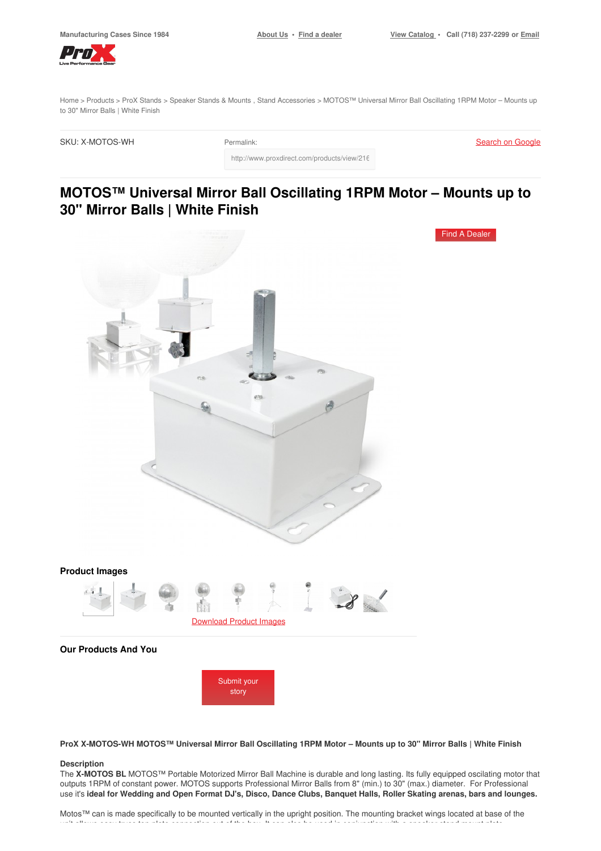Find A [Dealer](https://www.proxdirect.com/dealer/locator/)



[Home](https://www.proxdirect.com/) > [Products](https://www.proxdirect.com/products/) > ProX [Stands](https://www.proxdirect.com/products/browse/category/ProX-Stands) > [Speaker](https://www.proxdirect.com/products/browse/category/Speaker-Stands-Mounts) Stands & Mounts , Stand [Accessories](https://www.proxdirect.com/products/browse/category/Stand-Accessories) > MOTOS™ Universal Mirror Ball Oscillating 1RPM Motor – Mounts up to 30" Mirror Balls | White Finish

http://www.proxdirect.com/products/view/2162

SKU: X-MOTOS-WH Permalink:

Search on [Google](https://www.google.com/search?q=X-MOTOS-WH)

# **MOTOS™ Universal Mirror Ball Oscillating 1RPM Motor – Mounts up to 30" Mirror Balls | White Finish**



**Our Products And You**



ProX X-MOTOS-WH MOTOS™ Universal Mirror Ball Oscillating 1RPM Motor - Mounts up to 30" Mirror Balls | White Finish

#### **Description**

The **X-MOTOS BL** MOTOS™ Portable Motorized Mirror Ball Machine is durable and long lasting. Its fully equipped oscilating motor that outputs 1RPM of constant power. MOTOS supports Professional Mirror Balls from 8" (min.) to 30" (max.) diameter. For Professional use it's ideal for Wedding and Open Format DJ's, Disco, Dance Clubs, Banquet Halls, Roller Skating arenas, bars and lounges.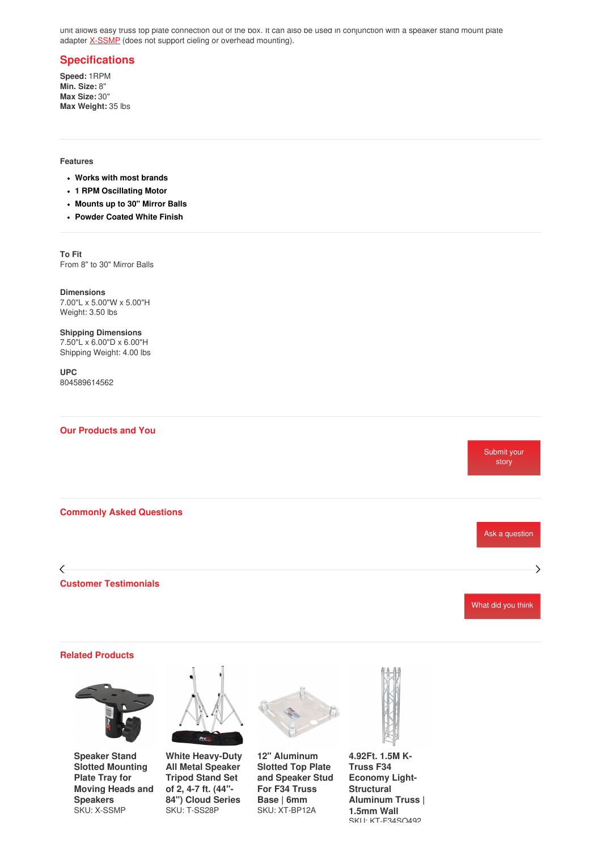unit allows easy truss top plate connection out of the box. It can also be used in conjunction with a speaker stand mount plate adapter <u>[X-SSMP](http://www.proxdirect.com/products/view/1611)</u> (does not support cieling or overhead mounting).

# **Specifications**

**Speed:** 1RPM **Min. Size:** 8" **Max Size:** 30" **Max Weight:** 35 lbs

## **Features**

- **Works with most brands**
- **1 RPM Oscillating Motor**
- **Mounts up to 30" Mirror Balls**
- **Powder Coated White Finish**

**To Fit** From 8" to 30" Mirror Balls

**Dimensions** 7.00"L x 5.00"W x 5.00"H Weight: 3.50 lbs

**Shipping Dimensions** 7.50"L x 6.00"D x 6.00"H Shipping Weight: 4.00 lbs

**UPC** 804589614562

### **Our Products and You**



#### **Related Products**



**Speaker Stand Slotted [Mounting](https://www.proxdirect.com/products/view/Speaker-Stand-Slotted-Mounting-Plate-Tray-for-Moving-Heads-and-Speakers-X-SSMP) Plate Tray for Moving Heads and Speakers** SKU: X-SSMP



**White [Heavy-Duty](https://www.proxdirect.com/products/view/White-Heavy-Duty-All-Metal-Speaker-Tripod-Stand-Set-of-2-4-7-ft-44-84-Cloud-Series-T-SS28P) All Metal Speaker Tripod Stand Set of 2, 4-7 ft. (44"- 84") Cloud Series** SKU: T-SS28P



**12" [Aluminum](https://www.proxdirect.com/products/view/12-Aluminum-Slotted-Top-Plate-and-Speaker-Stud-For-F34-Truss-Base-6mm-XT-BP12A) Slotted Top Plate and Speaker Stud For F34 Truss Base | 6mm** SKU: XT-BP12A

**4.92Ft. 1.5M K-Truss F34 Economy Light-Structural Aluminum Truss | 1.5mm Wall** SKII· KT-F34SO492